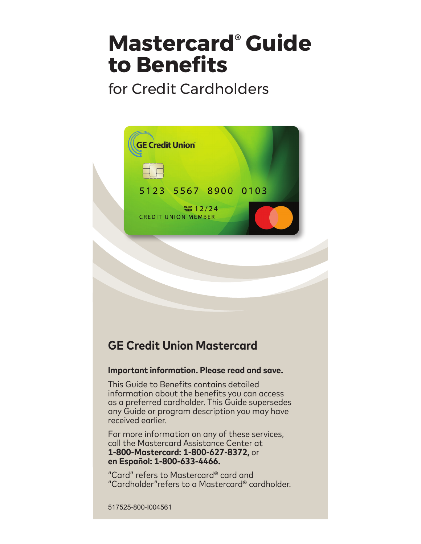# **Mastercard® Guide to Benefits**

# for Credit Cardholders



# **GE Credit Union Mastercard**

# **Important information. Please read and save.**

This Guide to Benefits contains detailed information about the benefits you can access as a preferred cardholder. This Guide supersedes any Guide or program description you may have received earlier.

For more information on any of these services, call the Mastercard Assistance Center at **1-800-Mastercard: 1-800-627-8372,** or **en Español: 1-800-633-4466.**

"Card" refers to Mastercard® card and "Cardholder"refers to a Mastercard® cardholder.

517525-800-I004561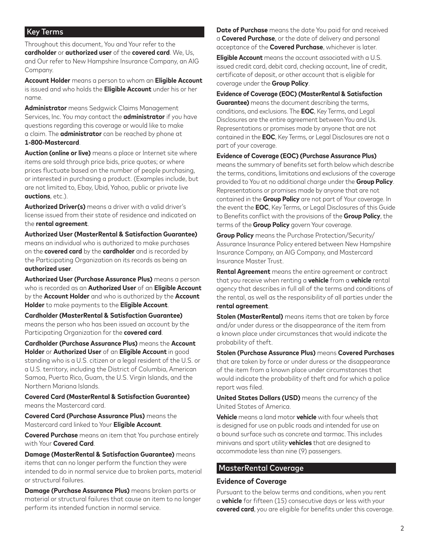#### Key Terms

Throughout this document, You and Your refer to the **cardholder** or **authorized user** of the **covered card**. We, Us, and Our refer to New Hampshire Insurance Company, an AIG Company.

**Account Holder** means a person to whom an **Eligible Account** is issued and who holds the **Eligible Account** under his or her name.

**Administrator** means Sedgwick Claims Management Services, Inc. You may contact the **administrator** if you have questions regarding this coverage or would like to make a claim. The **administrator** can be reached by phone at **1-800-Mastercard**.

**Auction (online or live)** means a place or Internet site where items are sold through price bids, price quotes; or where prices fluctuate based on the number of people purchasing, or interested in purchasing a product. (Examples include, but are not limited to, Ebay, Ubid, Yahoo, public or private live **auctions**, etc.).

**Authorized Driver(s)** means a driver with a valid driver's license issued from their state of residence and indicated on the **rental agreement**.

**Authorized User (MasterRental & Satisfaction Guarantee)** means an individual who is authorized to make purchases on the **covered card** by the **cardholder** and is recorded by the Participating Organization on its records as being an **authorized user**.

**Authorized User (Purchase Assurance Plus)** means a person who is recorded as an **Authorized User** of an **Eligible Account** by the **Account Holder** and who is authorized by the **Account Holder** to make payments to the **Eligible Account**.

**Cardholder (MasterRental & Satisfaction Guarantee)** means the person who has been issued an account by the Participating Organization for the **covered card**.

**Cardholder (Purchase Assurance Plus)** means the **Account Holder** or **Authorized User** of an **Eligible Account** in good standing who is a U.S. citizen or a legal resident of the U.S. or a U.S. territory, including the District of Columbia, American Samoa, Puerto Rico, Guam, the U.S. Virgin Islands, and the Northern Mariana Islands.

**Covered Card (MasterRental & Satisfaction Guarantee)** means the Mastercard card.

**Covered Card (Purchase Assurance Plus)** means the Mastercard card linked to Your **Eligible Account**.

**Covered Purchase** means an item that You purchase entirely with Your **Covered Card**.

**Damage (MasterRental & Satisfaction Guarantee)** means items that can no longer perform the function they were intended to do in normal service due to broken parts, material or structural failures.

**Damage (Purchase Assurance Plus)** means broken parts or material or structural failures that cause an item to no longer perform its intended function in normal service.

**Date of Purchase** means the date You paid for and received a **Covered Purchase**, or the date of delivery and personal acceptance of the **Covered Purchase**, whichever is later.

**Eligible Account** means the account associated with a U.S. issued credit card, debit card, checking account, line of credit, certificate of deposit, or other account that is eligible for coverage under the **Group Policy**.

#### **Evidence of Coverage (EOC) (MasterRental & Satisfaction**

**Guarantee)** means the document describing the terms, conditions, and exclusions. The **EOC**, Key Terms, and Legal Disclosures are the entire agreement between You and Us. Representations or promises made by anyone that are not contained in the **EOC**, Key Terms, or Legal Disclosures are not a part of your coverage.

**Evidence of Coverage (EOC) (Purchase Assurance Plus)**

means the summary of benefits set forth below which describe the terms, conditions, limitations and exclusions of the coverage provided to You at no additional charge under the **Group Policy**. Representations or promises made by anyone that are not contained in the **Group Policy** are not part of Your coverage. In the event the **EOC**, Key Terms, or Legal Disclosures of this Guide to Benefits conflict with the provisions of the **Group Policy**, the terms of the **Group Policy** govern Your coverage.

**Group Policy** means the Purchase Protection/Security/ Assurance Insurance Policy entered between New Hampshire Insurance Company, an AIG Company, and Mastercard Insurance Master Trust.

**Rental Agreement** means the entire agreement or contract that you receive when renting a **vehicle** from a **vehicle** rental agency that describes in full all of the terms and conditions of the rental, as well as the responsibility of all parties under the **rental agreement**.

**Stolen (MasterRental)** means items that are taken by force and/or under duress or the disappearance of the item from a known place under circumstances that would indicate the probability of theft.

**Stolen (Purchase Assurance Plus)** means **Covered Purchases** that are taken by force or under duress or the disappearance of the item from a known place under circumstances that would indicate the probability of theft and for which a police report was filed.

**United States Dollars (USD)** means the currency of the United States of America.

**Vehicle** means a land motor **vehicle** with four wheels that is designed for use on public roads and intended for use on a bound surface such as concrete and tarmac. This includes minivans and sport utility **vehicles** that are designed to accommodate less than nine (9) passengers.

#### MasterRental Coverage

#### **Evidence of Coverage**

Pursuant to the below terms and conditions, when you rent a **vehicle** for fifteen (15) consecutive days or less with your **covered card**, you are eligible for benefits under this coverage.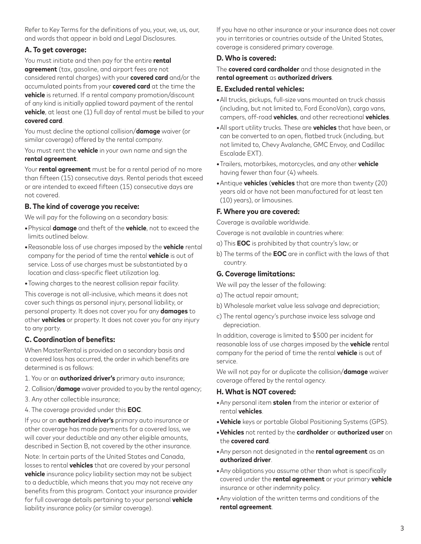Refer to Key Terms for the definitions of you, your, we, us, our, and words that appear in bold and Legal Disclosures.

#### **A. To get coverage:**

You must initiate and then pay for the entire **rental agreement** (tax, gasoline, and airport fees are not considered rental charges) with your **covered card** and/or the accumulated points from your **covered card** at the time the **vehicle** is returned. If a rental company promotion/discount of any kind is initially applied toward payment of the rental **vehicle**, at least one (1) full day of rental must be billed to your **covered card**.

You must decline the optional collision/**damage** waiver (or similar coverage) offered by the rental company.

You must rent the **vehicle** in your own name and sign the **rental agreement**.

Your **rental agreement** must be for a rental period of no more than fifteen (15) consecutive days. Rental periods that exceed or are intended to exceed fifteen (15) consecutive days are not covered.

#### **B. The kind of coverage you receive:**

We will pay for the following on a secondary basis:

- **•**Physical **damage** and theft of the **vehicle**, not to exceed the limits outlined below.
- **•**Reasonable loss of use charges imposed by the **vehicle** rental company for the period of time the rental **vehicle** is out of service. Loss of use charges must be substantiated by a location and class-specific fleet utilization log.
- **•**Towing charges to the nearest collision repair facility.

This coverage is not all-inclusive, which means it does not cover such things as personal injury, personal liability, or personal property. It does not cover you for any **damages** to other **vehicles** or property. It does not cover you for any injury to any party.

#### **C. Coordination of benefits:**

When MasterRental is provided on a secondary basis and a covered loss has occurred, the order in which benefits are determined is as follows:

- 1. You or an **authorized driver's** primary auto insurance;
- 2. Collision/**damage** waiver provided to you by the rental agency;
- 3. Any other collectible insurance;
- 4. The coverage provided under this **EOC**.

If you or an **authorized driver's** primary auto insurance or other coverage has made payments for a covered loss, we will cover your deductible and any other eligible amounts, described in Section B, not covered by the other insurance.

Note: In certain parts of the United States and Canada, losses to rental **vehicles** that are covered by your personal **vehicle** insurance policy liability section may not be subject to a deductible, which means that you may not receive any benefits from this program. Contact your insurance provider for full coverage details pertaining to your personal **vehicle** liability insurance policy (or similar coverage).

If you have no other insurance or your insurance does not cover you in territories or countries outside of the United States, coverage is considered primary coverage.

#### **D. Who is covered:**

The **covered card cardholder** and those designated in the **rental agreement** as **authorized drivers**.

#### **E. Excluded rental vehicles:**

- **•**All trucks, pickups, full-size vans mounted on truck chassis (including, but not limited to, Ford EconoVan), cargo vans, campers, off-road **vehicles**, and other recreational **vehicles**.
- **•**All sport utility trucks. These are **vehicles** that have been, or can be converted to an open, flatbed truck (including, but not limited to, Chevy Avalanche, GMC Envoy, and Cadillac Escalade EXT).
- **•**Trailers, motorbikes, motorcycles, and any other **vehicle** having fewer than four (4) wheels.
- **•**Antique **vehicles** (**vehicles** that are more than twenty (20) years old or have not been manufactured for at least ten (10) years), or limousines.

#### **F. Where you are covered:**

Coverage is available worldwide.

Coverage is not available in countries where:

- a) This **EOC** is prohibited by that country's law; or
- b) The terms of the **EOC** are in conflict with the laws of that country.

#### **G. Coverage limitations:**

We will pay the lesser of the following:

- a) The actual repair amount;
- b) Wholesale market value less salvage and depreciation;
- c) The rental agency's purchase invoice less salvage and depreciation.

In addition, coverage is limited to \$500 per incident for reasonable loss of use charges imposed by the **vehicle** rental company for the period of time the rental **vehicle** is out of service.

We will not pay for or duplicate the collision/**damage** waiver coverage offered by the rental agency.

#### **H. What is NOT covered:**

- **•**Any personal item **stolen** from the interior or exterior of rental **vehicles**.
- **•Vehicle** keys or portable Global Positioning Systems (GPS).
- **•Vehicles** not rented by the **cardholder** or **authorized user** on the **covered card**.
- **•**Any person not designated in the **rental agreement** as an **authorized driver**.
- **•**Any obligations you assume other than what is specifically covered under the **rental agreement** or your primary **vehicle** insurance or other indemnity policy.
- **•**Any violation of the written terms and conditions of the **rental agreement**.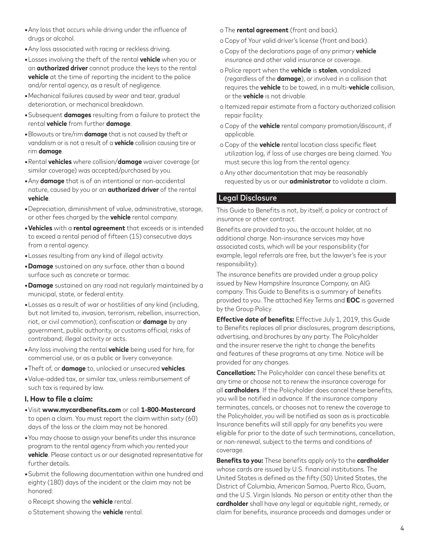- **•**Any loss that occurs while driving under the influence of drugs or alcohol.
- **•**Any loss associated with racing or reckless driving.
- **•**Losses involving the theft of the rental **vehicle** when you or an **authorized driver** cannot produce the keys to the rental **vehicle** at the time of reporting the incident to the police and/or rental agency, as a result of negligence.
- **•**Mechanical failures caused by wear and tear, gradual deterioration, or mechanical breakdown.
- **•**Subsequent **damages** resulting from a failure to protect the rental **vehicle** from further **damage**.
- **•**Blowouts or tire/rim **damage** that is not caused by theft or vandalism or is not a result of a **vehicle** collision causing tire or rim **damage**.
- **•**Rental **vehicles** where collision/**damage** waiver coverage (or similar coverage) was accepted/purchased by you.
- **•**Any **damage** that is of an intentional or non-accidental nature, caused by you or an **authorized driver** of the rental **vehicle**.
- **•**Depreciation, diminishment of value, administrative, storage, or other fees charged by the **vehicle** rental company.
- **•Vehicles** with a **rental agreement** that exceeds or is intended to exceed a rental period of fifteen (15) consecutive days from a rental agency.
- **•**Losses resulting from any kind of illegal activity.
- **•Damage** sustained on any surface, other than a bound surface such as concrete or tarmac.
- **•Damage** sustained on any road not regularly maintained by a municipal, state, or federal entity.
- **•**Losses as a result of war or hostilities of any kind (including, but not limited to, invasion, terrorism, rebellion, insurrection, riot, or civil commotion); confiscation or **damage** by any government, public authority, or customs official; risks of contraband; illegal activity or acts.
- **•**Any loss involving the rental **vehicle** being used for hire, for commercial use, or as a public or livery conveyance.
- **•**Theft of, or **damage** to, unlocked or unsecured **vehicles**.
- **•**Value-added tax, or similar tax, unless reimbursement of such tax is required by law.

#### **I. How to file a claim:**

- **•**Visit **www.mycardbenefits.com** or call **1-800-Mastercard** to open a claim. You must report the claim within sixty (60) days of the loss or the claim may not be honored.
- **•**You may choose to assign your benefits under this insurance program to the rental agency from which you rented your **vehicle**. Please contact us or our designated representative for further details.
- **•**Submit the following documentation within one hundred and eighty (180) days of the incident or the claim may not be honored:
- o Receipt showing the **vehicle** rental.
- o Statement showing the **vehicle** rental.
- o The **rental agreement** (front and back).
- o Copy of Your valid driver's license (front and back).
- o Copy of the declarations page of any primary **vehicle** insurance and other valid insurance or coverage.
- o Police report when the **vehicle** is **stolen**, vandalized (regardless of the **damage**), or involved in a collision that requires the **vehicle** to be towed, in a multi-**vehicle** collision, or the **vehicle** is not drivable.
- o Itemized repair estimate from a factory authorized collision repair facility.
- o Copy of the **vehicle** rental company promotion/discount, if applicable.
- o Copy of the **vehicle** rental location class specific fleet utilization log, if loss of use charges are being claimed. You must secure this log from the rental agency.
- o Any other documentation that may be reasonably requested by us or our **administrator** to validate a claim.

#### Legal Disclosure

This Guide to Benefits is not, by itself, a policy or contract of insurance or other contract.

Benefits are provided to you, the account holder, at no additional charge. Non-insurance services may have associated costs, which will be your responsibility (for example, legal referrals are free, but the lawyer's fee is your responsibility).

The insurance benefits are provided under a group policy issued by New Hampshire Insurance Company, an AIG company. This Guide to Benefits is a summary of benefits provided to you. The attached Key Terms and **EOC** is governed by the Group Policy.

**Effective date of benefits:** Effective July 1, 2019, this Guide to Benefits replaces all prior disclosures, program descriptions, advertising, and brochures by any party. The Policyholder and the insurer reserve the right to change the benefits and features of these programs at any time. Notice will be provided for any changes.

**Cancellation:** The Policyholder can cancel these benefits at any time or choose not to renew the insurance coverage for all **cardholders**. If the Policyholder does cancel these benefits, you will be notified in advance. If the insurance company terminates, cancels, or chooses not to renew the coverage to the Policyholder, you will be notified as soon as is practicable. Insurance benefits will still apply for any benefits you were eligible for prior to the date of such terminations, cancellation, or non-renewal, subject to the terms and conditions of coverage.

**Benefits to you:** These benefits apply only to the **cardholder** whose cards are issued by U.S. financial institutions. The United States is defined as the fifty (50) United States, the District of Columbia, American Samoa, Puerto Rico, Guam, and the U.S. Virgin Islands. No person or entity other than the **cardholder** shall have any legal or equitable right, remedy, or claim for benefits, insurance proceeds and damages under or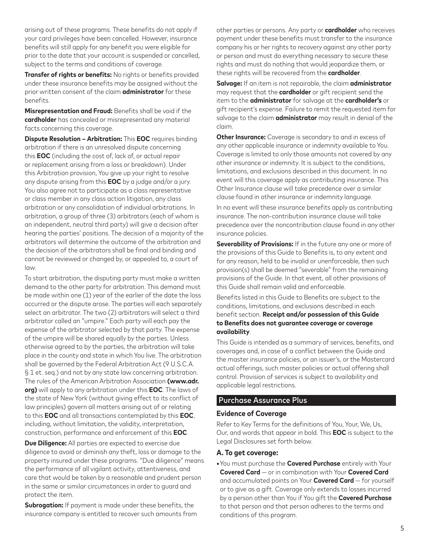arising out of these programs. These benefits do not apply if your card privileges have been cancelled. However, insurance benefits will still apply for any benefit you were eligible for prior to the date that your account is suspended or cancelled, subject to the terms and conditions of coverage.

**Transfer of rights or benefits:** No rights or benefits provided under these insurance benefits may be assigned without the prior written consent of the claim **administrator** for these benefits.

**Misrepresentation and Fraud:** Benefits shall be void if the **cardholder** has concealed or misrepresented any material facts concerning this coverage.

**Dispute Resolution – Arbitration:** This **EOC** requires binding arbitration if there is an unresolved dispute concerning this **EOC** (including the cost of, lack of, or actual repair or replacement arising from a loss or breakdown). Under this Arbitration provision, You give up your right to resolve any dispute arising from this **EOC** by a judge and/or a jury. You also agree not to participate as a class representative or class member in any class action litigation, any class arbitration or any consolidation of individual arbitrations. In arbitration, a group of three (3) arbitrators (each of whom is an independent, neutral third party) will give a decision after hearing the parties' positions. The decision of a majority of the arbitrators will determine the outcome of the arbitration and the decision of the arbitrators shall be final and binding and cannot be reviewed or changed by, or appealed to, a court of law.

To start arbitration, the disputing party must make a written demand to the other party for arbitration. This demand must be made within one (1) year of the earlier of the date the loss occurred or the dispute arose. The parties will each separately select an arbitrator. The two (2) arbitrators will select a third arbitrator called an "umpire." Each party will each pay the expense of the arbitrator selected by that party. The expense of the umpire will be shared equally by the parties. Unless otherwise agreed to by the parties, the arbitration will take place in the county and state in which You live. The arbitration shall be governed by the Federal Arbitration Act (9 U.S.C.A. § 1 et. seq.) and not by any state law concerning arbitration. The rules of the American Arbitration Association **(www.adr. org)** will apply to any arbitration under this **EOC**. The laws of the state of New York (without giving effect to its conflict of law principles) govern all matters arising out of or relating to this **EOC** and all transactions contemplated by this **EOC**, including, without limitation, the validity, interpretation, construction, performance and enforcement of this **EOC**.

**Due Diligence:** All parties are expected to exercise due diligence to avoid or diminish any theft, loss or damage to the property insured under these programs. "Due diligence" means the performance of all vigilant activity, attentiveness, and care that would be taken by a reasonable and prudent person in the same or similar circumstances in order to guard and protect the item.

**Subrogation:** If payment is made under these benefits, the insurance company is entitled to recover such amounts from other parties or persons. Any party or **cardholder** who receives payment under these benefits must transfer to the insurance company his or her rights to recovery against any other party or person and must do everything necessary to secure these rights and must do nothing that would jeopardize them, or these rights will be recovered from the **cardholder**.

**Salvage:** If an item is not repairable, the claim **administrator** may request that the **cardholder** or gift recipient send the item to the **administrator** for salvage at the **cardholder's** or gift recipient's expense. Failure to remit the requested item for salvage to the claim **administrator** may result in denial of the claim.

**Other Insurance:** Coverage is secondary to and in excess of any other applicable insurance or indemnity available to You. Coverage is limited to only those amounts not covered by any other insurance or indemnity. It is subject to the conditions, limitations, and exclusions described in this document. In no event will this coverage apply as contributing insurance. This Other Insurance clause will take precedence over a similar clause found in other insurance or indemnity language.

In no event will these insurance benefits apply as contributing insurance. The non-contribution insurance clause will take precedence over the noncontribution clause found in any other insurance policies.

**Severability of Provisions:** If in the future any one or more of the provisions of this Guide to Benefits is, to any extent and for any reason, held to be invalid or unenforceable, then such provision(s) shall be deemed "severable" from the remaining provisions of the Guide. In that event, all other provisions of this Guide shall remain valid and enforceable.

Benefits listed in this Guide to Benefits are subject to the conditions, limitations, and exclusions described in each benefit section. **Receipt and/or possession of this Guide to Benefits does not guarantee coverage or coverage availability**.

This Guide is intended as a summary of services, benefits, and coverages and, in case of a conflict between the Guide and the master insurance policies, or an issuer's, or the Mastercard actual offerings, such master policies or actual offering shall control. Provision of services is subject to availability and applicable legal restrictions.

#### Purchase Assurance Plus

#### **Evidence of Coverage**

Refer to Key Terms for the definitions of You, Your, We, Us, Our, and words that appear in bold. This **EOC** is subject to the Legal Disclosures set forth below.

#### **A. To get coverage:**

**•**You must purchase the **Covered Purchase** entirely with Your **Covered Card** — or in combination with Your **Covered Card** and accumulated points on Your **Covered Card** — for yourself or to give as a gift. Coverage only extends to losses incurred by a person other than You if You gift the **Covered Purchase** to that person and that person adheres to the terms and conditions of this program.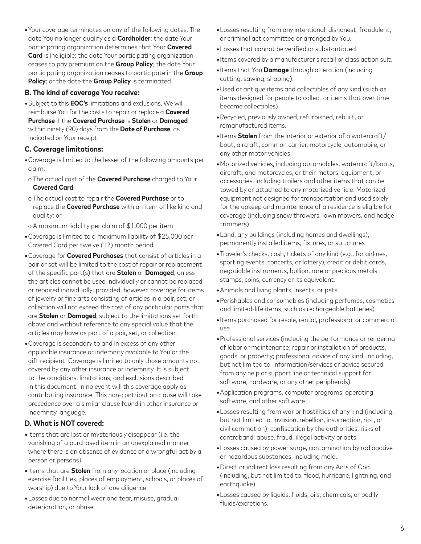**•**Your coverage terminates on any of the following dates: The date You no longer qualify as a **Cardholder**; the date Your participating organization determines that Your **Covered Card** is ineligible; the date Your participating organization ceases to pay premium on the **Group Policy**; the date Your participating organization ceases to participate in the **Group Policy**; or the date the **Group Policy** is terminated.

#### **B. The kind of coverage You receive:**

**•**Subject to this **EOC's** limitations and exclusions, We will reimburse You for the costs to repair or replace a **Covered Purchase** if the **Covered Purchase** is **Stolen** or **Damaged** within ninety (90) days from the **Date of Purchase**, as indicated on Your receipt.

# **C. Coverage limitations:**

- **•**Coverage is limited to the lesser of the following amounts per claim:
- o The actual cost of the **Covered Purchase** charged to Your **Covered Card**;
- o The actual cost to repair the **Covered Purchase** or to replace the **Covered Purchase** with an item of like kind and quality; or
- o A maximum liability per claim of \$1,000 per item.
- **•**Coverage is limited to a maximum liability of \$25,000 per Covered Card per twelve (12) month period.
- **•**Coverage for **Covered Purchases** that consist of articles in a pair or set will be limited to the cost of repair or replacement of the specific part(s) that are **Stolen** or **Damaged**, unless the articles cannot be used individually or cannot be replaced or repaired individually; provided, however, coverage for items of jewelry or fine arts consisting of articles in a pair, set, or collection will not exceed the cost of any particular parts that are **Stolen** or **Damaged**, subject to the limitations set forth above and without reference to any special value that the articles may have as part of a pair, set, or collection.
- **•**Coverage is secondary to and in excess of any other applicable insurance or indemnity available to You or the gift recipient. Coverage is limited to only those amounts not covered by any other insurance or indemnity. It is subject to the conditions, limitations, and exclusions described in this document. In no event will this coverage apply as contributing insurance. This non-contribution clause will take precedence over a similar clause found in other insurance or indemnity language.

# **D. What is NOT covered:**

- **•**Items that are lost or mysteriously disappear (i.e. the vanishing of a purchased item in an unexplained manner where there is an absence of evidence of a wrongful act by a person or persons).
- **•**Items that are **Stolen** from any location or place (including exercise facilities, places of employment, schools, or places of worship) due to Your lack of due diligence.
- **•**Losses due to normal wear and tear, misuse, gradual deterioration, or abuse.
- **•**Losses resulting from any intentional, dishonest, fraudulent, or criminal act committed or arranged by You.
- **•**Losses that cannot be verified or substantiated.
- **•**Items covered by a manufacturer's recall or class action suit.
- **•**Items that You **Damage** through alteration (including cutting, sawing, shaping).
- **•**Used or antique items and collectibles of any kind (such as items designed for people to collect or items that over time become collectibles).
- **•**Recycled, previously owned, refurbished, rebuilt, or remanufactured items.
- **•**Items **Stolen** from the interior or exterior of a watercraft/ boat, aircraft, common carrier, motorcycle, automobile, or any other motor vehicles.
- **•**Motorized vehicles, including automobiles, watercraft/boats, aircraft, and motorcycles, or their motors, equipment, or accessories, including trailers and other items that can be towed by or attached to any motorized vehicle. Motorized equipment not designed for transportation and used solely for the upkeep and maintenance of a residence is eligible for coverage (including snow throwers, lawn mowers, and hedge trimmers).
- **•**Land, any buildings (including homes and dwellings), permanently installed items, fixtures, or structures.
- **•**Traveler's checks, cash, tickets of any kind (e.g., for airlines, sporting events, concerts, or lottery), credit or debit cards, negotiable instruments, bullion, rare or precious metals, stamps, coins, currency or its equivalent.
- **•**Animals and living plants, insects, or pets.
- **•**Perishables and consumables (including perfumes, cosmetics, and limited-life items, such as rechargeable batteries).
- **•**Items purchased for resale, rental, professional or commercial use.
- **•**Professional services (including the performance or rendering of labor or maintenance; repair or installation of products, goods, or property; professional advice of any kind, including, but not limited to, information/services or advice secured from any help or support line or technical support for software, hardware, or any other peripherals).
- **•**Application programs, computer programs, operating software, and other software.
- **•**Losses resulting from war or hostilities of any kind (including, but not limited to, invasion, rebellion, insurrection, riot, or civil commotion); confiscation by the authorities; risks of contraband; abuse, fraud, illegal activity or acts.
- **•**Losses caused by power surge, contamination by radioactive or hazardous substances, including mold.
- **•**Direct or indirect loss resulting from any Acts of God (including, but not limited to, flood, hurricane, lightning, and earthquake).
- **•**Losses caused by liquids, fluids, oils, chemicals, or bodily fluids/excretions.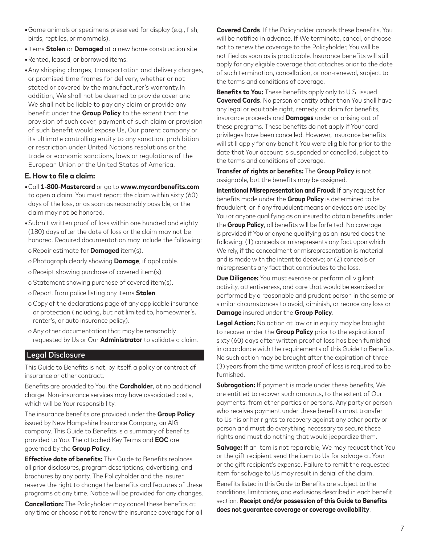- **•**Game animals or specimens preserved for display (e.g., fish, birds, reptiles, or mammals).
- **•**Items **Stolen** or **Damaged** at a new home construction site.
- **•**Rented, leased, or borrowed items.
- **•**Any shipping charges, transportation and delivery charges, or promised time frames for delivery, whether or not stated or covered by the manufacturer's warranty.In addition, We shall not be deemed to provide cover and We shall not be liable to pay any claim or provide any benefit under the **Group Policy** to the extent that the provision of such cover, payment of such claim or provision of such benefit would expose Us, Our parent company or its ultimate controlling entity to any sanction, prohibition or restriction under United Nations resolutions or the trade or economic sanctions, laws or regulations of the European Union or the United States of America.

#### **E. How to file a claim:**

- **•**Call **1-800-Mastercard** or go to **www.mycardbenefits.com** to open a claim. You must report the claim within sixty (60) days of the loss, or as soon as reasonably possible, or the claim may not be honored.
- **•**Submit written proof of loss within one hundred and eighty (180) days after the date of loss or the claim may not be honored. Required documentation may include the following:
- o Repair estimate for **Damaged** item(s).
- o Photograph clearly showing **Damage**, if applicable.
- o Receipt showing purchase of covered item(s).
- o Statement showing purchase of covered item(s).
- o Report from police listing any items **Stolen**.
- o Copy of the declarations page of any applicable insurance or protection (including, but not limited to, homeowner's, renter's, or auto insurance policy).
- o Any other documentation that may be reasonably requested by Us or Our **Administrator** to validate a claim.

#### Legal Disclosure

This Guide to Benefits is not, by itself, a policy or contract of insurance or other contract.

Benefits are provided to You, the **Cardholder**, at no additional charge. Non-insurance services may have associated costs, which will be Your responsibility.

The insurance benefits are provided under the **Group Policy** issued by New Hampshire Insurance Company, an AIG company. This Guide to Benefits is a summary of benefits provided to You. The attached Key Terms and **EOC** are governed by the **Group Policy**.

**Effective date of benefits:** This Guide to Benefits replaces all prior disclosures, program descriptions, advertising, and brochures by any party. The Policyholder and the insurer reserve the right to change the benefits and features of these programs at any time. Notice will be provided for any changes.

**Cancellation:** The Policyholder may cancel these benefits at any time or choose not to renew the insurance coverage for all **Covered Cards**. If the Policyholder cancels these benefits, You will be notified in advance. If We terminate, cancel, or choose not to renew the coverage to the Policyholder, You will be notified as soon as is practicable. Insurance benefits will still apply for any eligible coverage that attaches prior to the date of such termination, cancellation, or non-renewal, subject to the terms and conditions of coverage.

**Benefits to You:** These benefits apply only to U.S. issued **Covered Cards**. No person or entity other than You shall have any legal or equitable right, remedy, or claim for benefits, insurance proceeds and **Damages** under or arising out of these programs. These benefits do not apply if Your card privileges have been cancelled. However, insurance benefits will still apply for any benefit You were eligible for prior to the date that Your account is suspended or cancelled, subject to the terms and conditions of coverage.

**Transfer of rights or benefits:** The **Group Policy** is not assignable, but the benefits may be assigned.

**Intentional Misrepresentation and Fraud:** If any request for benefits made under the **Group Policy** is determined to be fraudulent, or if any fraudulent means or devices are used by You or anyone qualifying as an insured to obtain benefits under the **Group Policy**, all benefits will be forfeited. No coverage is provided if You or anyone qualifying as an insured does the following: (1) conceals or misrepresents any fact upon which We rely, if the concealment or misrepresentation is material and is made with the intent to deceive; or (2) conceals or misrepresents any fact that contributes to the loss.

**Due Diligence:** You must exercise or perform all vigilant activity, attentiveness, and care that would be exercised or performed by a reasonable and prudent person in the same or similar circumstances to avoid, diminish, or reduce any loss or **Damage** insured under the **Group Policy**.

**Legal Action:** No action at law or in equity may be brought to recover under the **Group Policy** prior to the expiration of sixty (60) days after written proof of loss has been furnished in accordance with the requirements of this Guide to Benefits. No such action may be brought after the expiration of three (3) years from the time written proof of loss is required to be furnished.

**Subrogation:** If payment is made under these benefits, We are entitled to recover such amounts, to the extent of Our payments, from other parties or persons. Any party or person who receives payment under these benefits must transfer to Us his or her rights to recovery against any other party or person and must do everything necessary to secure these rights and must do nothing that would jeopardize them.

**Salvage:** If an item is not repairable, We may request that You or the gift recipient send the item to Us for salvage at Your or the gift recipient's expense. Failure to remit the requested item for salvage to Us may result in denial of the claim.

Benefits listed in this Guide to Benefits are subject to the conditions, limitations, and exclusions described in each benefit section. **Receipt and/or possession of this Guide to Benefits does not guarantee coverage or coverage availability**.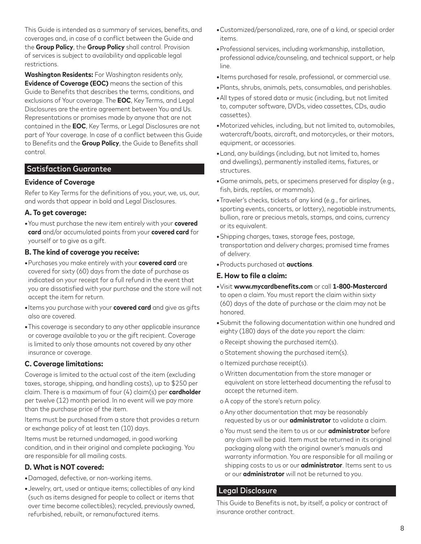This Guide is intended as a summary of services, benefits, and coverages and, in case of a conflict between the Guide and the **Group Policy**, the **Group Policy** shall control. Provision of services is subject to availability and applicable legal restrictions.

**Washington Residents:** For Washington residents only, **Evidence of Coverage (EOC)** means the section of this Guide to Benefits that describes the terms, conditions, and exclusions of Your coverage. The **EOC**, Key Terms, and Legal Disclosures are the entire agreement between You and Us. Representations or promises made by anyone that are not contained in the **EOC**, Key Terms, or Legal Disclosures are not part of Your coverage. In case of a conflict between this Guide to Benefits and the **Group Policy**, the Guide to Benefits shall control.

#### Satisfaction Guarantee

#### **Evidence of Coverage**

Refer to Key Terms for the definitions of you, your, we, us, our, and words that appear in bold and Legal Disclosures.

#### **A. To get coverage:**

**•**You must purchase the new item entirely with your **covered card** and/or accumulated points from your **covered card** for yourself or to give as a gift.

#### **B. The kind of coverage you receive:**

- **•**Purchases you make entirely with your **covered card** are covered for sixty (60) days from the date of purchase as indicated on your receipt for a full refund in the event that you are dissatisfied with your purchase and the store will not accept the item for return.
- **•**Items you purchase with your **covered card** and give as gifts also are covered.
- **•**This coverage is secondary to any other applicable insurance or coverage available to you or the gift recipient. Coverage is limited to only those amounts not covered by any other insurance or coverage.

#### **C. Coverage limitations:**

Coverage is limited to the actual cost of the item (excluding taxes, storage, shipping, and handling costs), up to \$250 per claim. There is a maximum of four (4) claim(s) per **cardholder** per twelve (12) month period. In no event will we pay more than the purchase price of the item.

Items must be purchased from a store that provides a return or exchange policy of at least ten (10) days.

Items must be returned undamaged, in good working condition, and in their original and complete packaging. You are responsible for all mailing costs.

# **D. What is NOT covered:**

- **•**Damaged, defective, or non-working items.
- **•**Jewelry, art, used or antique items; collectibles of any kind (such as items designed for people to collect or items that over time become collectibles); recycled, previously owned, refurbished, rebuilt, or remanufactured items.
- **•**Customized/personalized, rare, one of a kind, or special order items.
- **•**Professional services, including workmanship, installation, professional advice/counseling, and technical support, or help line.
- **•**Items purchased for resale, professional, or commercial use.
- **•**Plants, shrubs, animals, pets, consumables, and perishables.
- **•**All types of stored data or music (including, but not limited to, computer software, DVDs, video cassettes, CDs, audio cassettes).
- **•**Motorized vehicles, including, but not limited to, automobiles, watercraft/boats, aircraft, and motorcycles, or their motors, equipment, or accessories.
- **•**Land, any buildings (including, but not limited to, homes and dwellings), permanently installed items, fixtures, or structures.
- **•**Game animals, pets, or specimens preserved for display (e.g., fish, birds, reptiles, or mammals).
- **•**Traveler's checks, tickets of any kind (e.g., for airlines, sporting events, concerts, or lottery), negotiable instruments, bullion, rare or precious metals, stamps, and coins, currency or its equivalent.
- **•**Shipping charges, taxes, storage fees, postage, transportation and delivery charges; promised time frames of delivery.
- **•**Products purchased at **auctions**.

#### **E. How to file a claim:**

- **•**Visit **www.mycardbenefits.com** or call **1-800-Mastercard** to open a claim. You must report the claim within sixty (60) days of the date of purchase or the claim may not be honored.
- **•**Submit the following documentation within one hundred and eighty (180) days of the date you report the claim:
- o Receipt showing the purchased item(s).
- o Statement showing the purchased item(s).
- o Itemized purchase receipt(s).
- o Written documentation from the store manager or equivalent on store letterhead documenting the refusal to accept the returned item.
- o A copy of the store's return policy.
- o Any other documentation that may be reasonably requested by us or our **administrator** to validate a claim.
- o You must send the item to us or our **administrator** before any claim will be paid. Item must be returned in its original packaging along with the original owner's manuals and warranty information. You are responsible for all mailing or shipping costs to us or our **administrator**. Items sent to us or our **administrator** will not be returned to you.

#### Legal Disclosure

This Guide to Benefits is not, by itself, a policy or contract of insurance orother contract.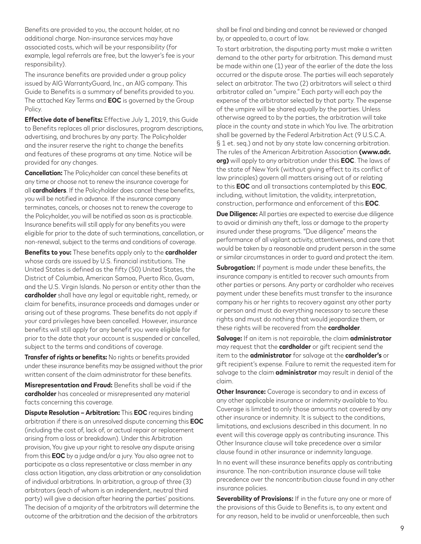Benefits are provided to you, the account holder, at no additional charge. Non-insurance services may have associated costs, which will be your responsibility (for example, legal referrals are free, but the lawyer's fee is your responsibility).

The insurance benefits are provided under a group policy issued by AIG WarrantyGuard, Inc., an AIG company. This Guide to Benefits is a summary of benefits provided to you. The attached Key Terms and **EOC** is governed by the Group Policy.

**Effective date of benefits:** Effective July 1, 2019, this Guide to Benefits replaces all prior disclosures, program descriptions, advertising, and brochures by any party. The Policyholder and the insurer reserve the right to change the benefits and features of these programs at any time. Notice will be provided for any changes.

**Cancellation:** The Policyholder can cancel these benefits at any time or choose not to renew the insurance coverage for all **cardholders**. If the Policyholder does cancel these benefits, you will be notified in advance. If the insurance company terminates, cancels, or chooses not to renew the coverage to the Policyholder, you will be notified as soon as is practicable. Insurance benefits will still apply for any benefits you were eligible for prior to the date of such terminations, cancellation, or non-renewal, subject to the terms and conditions of coverage.

**Benefits to you:** These benefits apply only to the **cardholder** whose cards are issued by U.S. financial institutions. The United States is defined as the fifty (50) United States, the District of Columbia, American Samoa, Puerto Rico, Guam, and the U.S. Virgin Islands. No person or entity other than the **cardholder** shall have any legal or equitable right, remedy, or claim for benefits, insurance proceeds and damages under or arising out of these programs. These benefits do not apply if your card privileges have been cancelled. However, insurance benefits will still apply for any benefit you were eligible for prior to the date that your account is suspended or cancelled, subject to the terms and conditions of coverage.

**Transfer of rights or benefits:** No rights or benefits provided under these insurance benefits may be assigned without the prior written consent of the claim administrator for these benefits.

**Misrepresentation and Fraud:** Benefits shall be void if the **cardholder** has concealed or misrepresented any material facts concerning this coverage.

**Dispute Resolution – Arbitration:** This **EOC** requires binding arbitration if there is an unresolved dispute concerning this **EOC** (including the cost of, lack of, or actual repair or replacement arising from a loss or breakdown). Under this Arbitration provision, You give up your right to resolve any dispute arising from this **EOC** by a judge and/or a jury. You also agree not to participate as a class representative or class member in any class action litigation, any class arbitration or any consolidation of individual arbitrations. In arbitration, a group of three (3) arbitrators (each of whom is an independent, neutral third party) will give a decision after hearing the parties' positions. The decision of a majority of the arbitrators will determine the outcome of the arbitration and the decision of the arbitrators

shall be final and binding and cannot be reviewed or changed by, or appealed to, a court of law.

To start arbitration, the disputing party must make a written demand to the other party for arbitration. This demand must be made within one (1) year of the earlier of the date the loss occurred or the dispute arose. The parties will each separately select an arbitrator. The two (2) arbitrators will select a third arbitrator called an "umpire." Each party will each pay the expense of the arbitrator selected by that party. The expense of the umpire will be shared equally by the parties. Unless otherwise agreed to by the parties, the arbitration will take place in the county and state in which You live. The arbitration shall be governed by the Federal Arbitration Act (9 U.S.C.A. § 1 et. seq.) and not by any state law concerning arbitration. The rules of the American Arbitration Association **(www.adr. org)** will apply to any arbitration under this **EOC**. The laws of the state of New York (without giving effect to its conflict of law principles) govern all matters arising out of or relating to this **EOC** and all transactions contemplated by this **EOC**, including, without limitation, the validity, interpretation, construction, performance and enforcement of this **EOC**.

**Due Diligence:** All parties are expected to exercise due diligence to avoid or diminish any theft, loss or damage to the property insured under these programs. "Due diligence" means the performance of all vigilant activity, attentiveness, and care that would be taken by a reasonable and prudent person in the same or similar circumstances in order to guard and protect the item.

**Subrogation:** If payment is made under these benefits, the insurance company is entitled to recover such amounts from other parties or persons. Any party or cardholder who receives payment under these benefits must transfer to the insurance company his or her rights to recovery against any other party or person and must do everything necessary to secure these rights and must do nothing that would jeopardize them, or these rights will be recovered from the **cardholder**.

**Salvage:** If an item is not repairable, the claim **administrator** may request that the **cardholder** or gift recipient send the item to the **administrator** for salvage at the **cardholder's** or gift recipient's expense. Failure to remit the requested item for salvage to the claim **administrator** may result in denial of the claim.

**Other Insurance:** Coverage is secondary to and in excess of any other applicable insurance or indemnity available to You. Coverage is limited to only those amounts not covered by any other insurance or indemnity. It is subject to the conditions, limitations, and exclusions described in this document. In no event will this coverage apply as contributing insurance. This Other Insurance clause will take precedence over a similar clause found in other insurance or indemnity language.

In no event will these insurance benefits apply as contributing insurance. The non-contribution insurance clause will take precedence over the noncontribution clause found in any other insurance policies.

**Severability of Provisions:** If in the future any one or more of the provisions of this Guide to Benefits is, to any extent and for any reason, held to be invalid or unenforceable, then such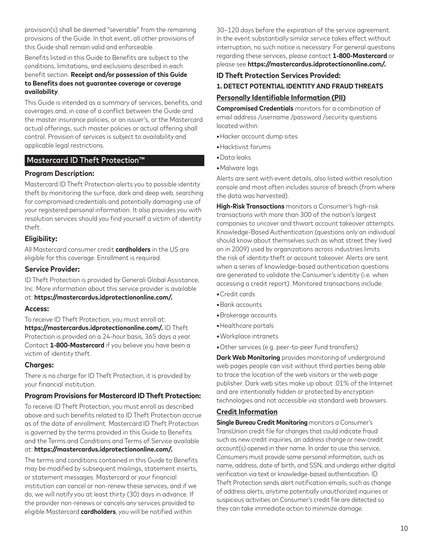provision(s) shall be deemed "severable" from the remaining provisions of the Guide. In that event, all other provisions of this Guide shall remain valid and enforceable.

Benefits listed in this Guide to Benefits are subject to the conditions, limitations, and exclusions described in each benefit section. **Receipt and/or possession of this Guide to Benefits does not guarantee coverage or coverage availability**.

This Guide is intended as a summary of services, benefits, and coverages and, in case of a conflict between the Guide and the master insurance policies, or an issuer's, or the Mastercard actual offerings, such master policies or actual offering shall control. Provision of services is subject to availability and applicable legal restrictions.

# Mastercard ID Theft Protection™

#### **Program Description:**

Mastercard ID Theft Protection alerts you to possible identity theft by monitoring the surface, dark and deep web, searching for compromised credentials and potentially damaging use of your registered personal information. It also provides you with resolution services should you find yourself a victim of identity theft.

#### **Eligibility:**

All Mastercard consumer credit **cardholders** in the US are eligible for this coverage. Enrollment is required.

#### **Service Provider:**

ID Theft Protection is provided by Generali Global Assistance, Inc. More information about this service provider is available at: **https://mastercardus.idprotectiononline.com/.**

#### **Access:**

To receive ID Theft Protection, you must enroll at: **https://mastercardus.idprotectiononline.com/.** ID Theft Protection is provided on a 24-hour basis, 365 days a year. Contact **1-800-Mastercard** if you believe you have been a victim of identity theft.

#### **Charges:**

There is no charge for ID Theft Protection, it is provided by your financial institution.

#### **Program Provisions for Mastercard ID Theft Protection:**

To receive ID Theft Protection, you must enroll as described above and such benefits related to ID Theft Protection accrue as of the date of enrollment. Mastercard ID Theft Protection is governed by the terms provided in this Guide to Benefits and the Terms and Conditions and Terms of Service available at: **https://mastercardus.idprotectiononline.com/.**

The terms and conditions contained in this Guide to Benefits may be modified by subsequent mailings, statement inserts, or statement messages. Mastercard or your financial institution can cancel or non-renew these services, and if we do, we will notify you at least thirty (30) days in advance. If the provider non-renews or cancels any services provided to eligible Mastercard **cardholders**, you will be notified within

30–120 days before the expiration of the service agreement. In the event substantially similar service takes effect without interruption, no such notice is necessary. For general questions regarding these services, please contact **1-800-Mastercard** or please see **https://mastercardus.idprotectiononline.com/.**

# **ID Theft Protection Services Provided: 1. DETECT POTENTIAL IDENTITY AND FRAUD THREATS**

# **Personally Identifiable Information (PII)**

**Compromised Credentials** monitors for a combination of email address /username /password /security questions located within:

- **•**Hacker account dump sites
- **•**Hacktivist forums
- **•**Data leaks
- **•**Malware logs

Alerts are sent with event details, also listed within resolution console and most often includes source of breach (from where the data was harvested).

**High-Risk Transactions** monitors a Consumer's high-risk transactions with more than 300 of the nation's largest companies to uncover and thwart account takeover attempts. Knowledge-Based Authentication (questions only an individual should know about themselves such as what street they lived on in 2009) used by organizations across industries limits the risk of identity theft or account takeover. Alerts are sent when a series of knowledge-based authentication questions are generated to validate the Consumer's identity (i.e. when accessing a credit report). Monitored transactions include:

- **•**Credit cards
- **•**Bank accounts
- **•**Brokerage accounts
- **•**Healthcare portals
- **•**Workplace intranets
- **•**Other services (e.g. peer-to-peer fund transfers)

**Dark Web Monitoring** provides monitoring of underground web pages people can visit without third parties being able to trace the location of the web visitors or the web page publisher. Dark web sites make up about .01% of the Internet and are intentionally hidden or protected by encryption technologies and not accessible via standard web browsers.

#### **Credit Information**

**Single Bureau Credit Monitoring** monitors a Consumer's TransUnion credit file for changes that could indicate fraud such as new credit inquiries, an address change or new credit account(s) opened in their name. In order to use this service, Consumers must provide some personal information, such as name, address, date of birth, and SSN, and undergo either digital verification via text or knowledge-based authentication. ID Theft Protection sends alert notification emails, such as change of address alerts, anytime potentially unauthorized inquiries or suspicious activities on Consumer's credit file are detected so they can take immediate action to minimize damage.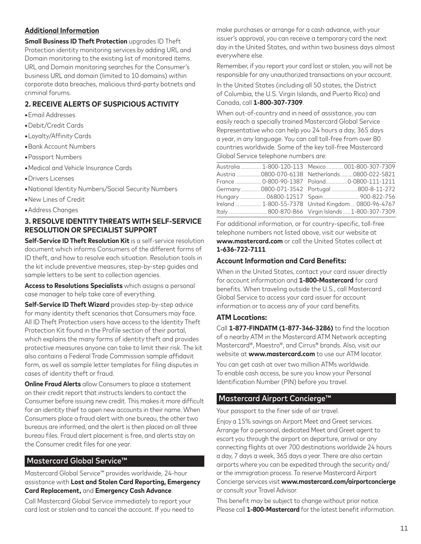# **Additional Information**

**Small Business ID Theft Protection** upgrades ID Theft Protection identity monitoring services by adding URL and Domain monitoring to the existing list of monitored items. URL and Domain monitoring searches for the Consumer's business URL and domain (limited to 10 domains) within corporate data breaches, malicious third-party botnets and criminal forums.

# **2. RECEIVE ALERTS OF SUSPICIOUS ACTIVITY**

- **•**Email Addresses
- **•**Debit/Credit Cards
- **•**Loyalty/Affinity Cards
- **•**Bank Account Numbers
- **•**Passport Numbers
- **•**Medical and Vehicle Insurance Cards
- **•**Drivers Licenses
- **•**National Identity Numbers/Social Security Numbers
- **•**New Lines of Credit
- **•**Address Changes

#### **3. RESOLVE IDENTITY THREATS WITH SELF-SERVICE RESOLUTION OR SPECIALIST SUPPORT**

**Self-Service ID Theft Resolution Kit** is a self-service resolution document which informs Consumers of the different forms of ID theft, and how to resolve each situation. Resolution tools in the kit include preventive measures, step-by-step guides and sample letters to be sent to collection agencies.

**Access to Resolutions Specialists** which assigns a personal case manager to help take care of everything.

**Self-Service ID Theft Wizard** provides step-by-step advice for many identity theft scenarios that Consumers may face. All ID Theft Protection users have access to the Identity Theft Protection Kit found in the Profile section of their portal, which explains the many forms of identity theft and provides protective measures anyone can take to limit their risk. The kit also contains a Federal Trade Commission sample affidavit form, as well as sample letter templates for filing disputes in cases of identity theft or fraud.

**Online Fraud Alerts** allow Consumers to place a statement on their credit report that instructs lenders to contact the Consumer before issuing new credit. This makes it more difficult for an identity thief to open new accounts in their name. When Consumers place a fraud alert with one bureau, the other two bureaus are informed, and the alert is then placed on all three bureau files. Fraud alert placement is free, and alerts stay on the Consumer credit files for one year.

## Mastercard Global Service™

Mastercard Global Service™ provides worldwide, 24-hour assistance with **Lost and Stolen Card Reporting, Emergency Card Replacement,** and **Emergency Cash Advance**.

Call Mastercard Global Service immediately to report your card lost or stolen and to cancel the account. If you need to make purchases or arrange for a cash advance, with your issuer's approval, you can receive a temporary card the next day in the United States, and within two business days almost everywhere else.

Remember, if you report your card lost or stolen, you will not be responsible for any unauthorized transactions on your account.

In the United States (including all 50 states, the District of Columbia, the U.S. Virgin Islands, and Puerto Rico) and Canada, call **1-800-307-7309**.

When out-of-country and in need of assistance, you can easily reach a specially trained Mastercard Global Service Representative who can help you 24 hours a day, 365 days a year, in any language. You can call toll-free from over 80 countries worldwide. Some of the key toll-free Mastercard Global Service telephone numbers are:

| Australia  1-800-120-113    Mexico 001-800-307-7309 |
|-----------------------------------------------------|
| Austria 0800-070-6138 Netherlands0800-022-5821      |
| France  0-800-90-1387    Poland0-0800-111-1211      |
| Germany0800-071-3542    Portugal 800-8-11-272       |
| Hungary 06800-12517 Spain 900-822-756               |
| Ireland  1-800-55-7378 United Kingdom 0800-96-4767  |
| Italy 800-870-866 Virgin Islands  1-800-307-7309    |
|                                                     |

For additional information, or for country-specific, toll-free telephone numbers not listed above, visit our website at **www.mastercard.com** or call the United States collect at **1-636-722-7111**.

# **Account Information and Card Benefits:**

When in the United States, contact your card issuer directly for account information and **1-800-Mastercard** for card benefits. When traveling outside the U.S., call Mastercard Global Service to access your card issuer for account information or to access any of your card benefits.

#### **ATM Locations:**

Call **1-877-FINDATM (1-877-346-3286)** to find the location of a nearby ATM in the Mastercard ATM Network accepting Mastercard®, Maestro®, and Cirrus® brands. Also, visit our website at **www.mastercard.com** to use our ATM locator. You can get cash at over two million ATMs worldwide. To enable cash access, be sure you know your Personal Identification Number (PIN) before you travel.

#### Mastercard Airport Concierge™

Your passport to the finer side of air travel.

Enjoy a 15% savings on Airport Meet and Greet services. Arrange for a personal, dedicated Meet and Greet agent to escort you through the airport on departure, arrival or any connecting flights at over 700 destinations worldwide 24 hours a day, 7 days a week, 365 days a year. There are also certain airports where you can be expedited through the security and/ or the immigration process. To reserve Mastercard Airport Concierge services visit **www.mastercard.com/airportconcierge** or consult your Travel Advisor.

This benefit may be subject to change without prior notice. Please call **1-800-Mastercard** for the latest benefit information.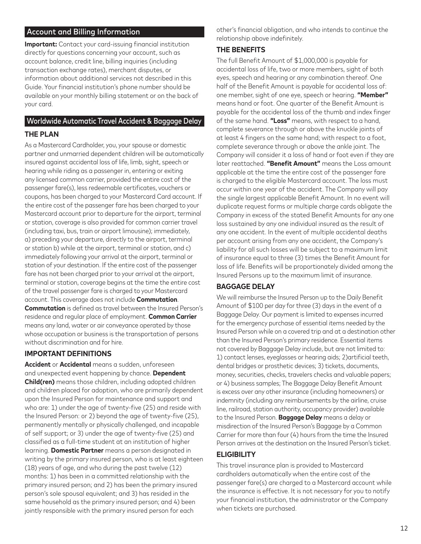# Account and Billing Information

**Important:** Contact your card-issuing financial institution directly for questions concerning your account, such as account balance, credit line, billing inquiries (including transaction exchange rates), merchant disputes, or information about additional services not described in this Guide. Your financial institution's phone number should be available on your monthly billing statement or on the back of your card.

# Worldwide Automatic Travel Accident & Baggage Delay

#### **THE PLAN**

As a Mastercard Cardholder, you, your spouse or domestic partner and unmarried dependent children will be automatically insured against accidental loss of life, limb, sight, speech or hearing while riding as a passenger in, entering or exiting any licensed common carrier, provided the entire cost of the passenger fare(s), less redeemable certificates, vouchers or coupons, has been charged to your Mastercard Card account. If the entire cost of the passenger fare has been charged to your Mastercard account prior to departure for the airport, terminal or station, coverage is also provided for common carrier travel (including taxi, bus, train or airport limousine); immediately, a) preceding your departure, directly to the airport, terminal or station b) while at the airport, terminal or station, and c) immediately following your arrival at the airport, terminal or station of your destination. If the entire cost of the passenger fare has not been charged prior to your arrival at the airport, terminal or station, coverage begins at the time the entire cost of the travel passenger fare is charged to your Mastercard account. This coverage does not include **Commutation**. **Commutation** is defined as travel between the Insured Person's residence and regular place of employment. **Common Carrier** means any land, water or air conveyance operated by those whose occupation or business is the transportation of persons without discrimination and for hire.

# **IMPORTANT DEFINITIONS**

**Accident** or **Accidental** means a sudden, unforeseen and unexpected event happening by chance. **Dependent Child(ren)** means those children, including adopted children and children placed for adoption, who are primarily dependent upon the Insured Person for maintenance and support and who are: 1) under the age of twenty-five (25) and reside with the Insured Person: or 2) beyond the age of twenty-five (25), permanently mentally or physically challenged, and incapable of self support; or 3) under the age of twenty-five (25) and classified as a full-time student at an institution of higher learning. **Domestic Partner** means a person designated in writing by the primary insured person, who is at least eighteen (18) years of age, and who during the past twelve (12) months: 1) has been in a committed relationship with the primary insured person; and 2) has been the primary insured person's sole spousal equivalent; and 3) has resided in the same household as the primary insured person; and 4) been jointly responsible with the primary insured person for each

other's financial obligation, and who intends to continue the relationship above indefinitely.

#### **THE BENEFITS**

The full Benefit Amount of \$1,000,000 is payable for accidental loss of life, two or more members, sight of both eyes, speech and hearing or any combination thereof. One half of the Benefit Amount is payable for accidental loss of: one member, sight of one eye, speech or hearing. **"Member"** means hand or foot. One quarter of the Benefit Amount is payable for the accidental loss of the thumb and index finger of the same hand. **"Loss"** means, with respect to a hand, complete severance through or above the knuckle joints of at least 4 fingers on the same hand; with respect to a foot, complete severance through or above the ankle joint. The Company will consider it a loss of hand or foot even if they are later reattached. **"Benefit Amount"** means the Loss amount applicable at the time the entire cost of the passenger fare is charged to the eligible Mastercard account. The loss must occur within one year of the accident. The Company will pay the single largest applicable Benefit Amount. In no event will duplicate request forms or multiple charge cards obligate the Company in excess of the stated Benefit Amounts for any one loss sustained by any one individual insured as the result of any one accident. In the event of multiple accidental deaths per account arising from any one accident, the Company's liability for all such losses will be subject to a maximum limit of insurance equal to three (3) times the Benefit Amount for loss of life. Benefits will be proportionately divided among the Insured Persons up to the maximum limit of insurance.

#### **BAGGAGE DELAY**

We will reimburse the Insured Person up to the Daily Benefit Amount of \$100 per day for three (3) days in the event of a Baggage Delay. Our payment is limited to expenses incurred for the emergency purchase of essential items needed by the Insured Person while on a covered trip and at a destination other than the Insured Person's primary residence. Essential items not covered by Baggage Delay include, but are not limited to: 1) contact lenses, eyeglasses or hearing aids; 2)artificial teeth, dental bridges or prosthetic devices; 3) tickets, documents, money, securities, checks, travelers checks and valuable papers; or 4) business samples; The Baggage Delay Benefit Amount is excess over any other insurance (including homeowners) or indemnity (including any reimbursements by the airline, cruise line, railroad, station authority, occupancy provider) available to the Insured Person. **Baggage Delay** means a delay or misdirection of the Insured Person's Baggage by a Common Carrier for more than four (4) hours from the time the Insured Person arrives at the destination on the Insured Person's ticket.

#### **ELIGIBILITY**

This travel insurance plan is provided to Mastercard cardholders automatically when the entire cost of the passenger fare(s) are charged to a Mastercard account while the insurance is effective. It is not necessary for you to notify your financial institution, the administrator or the Company when tickets are purchased.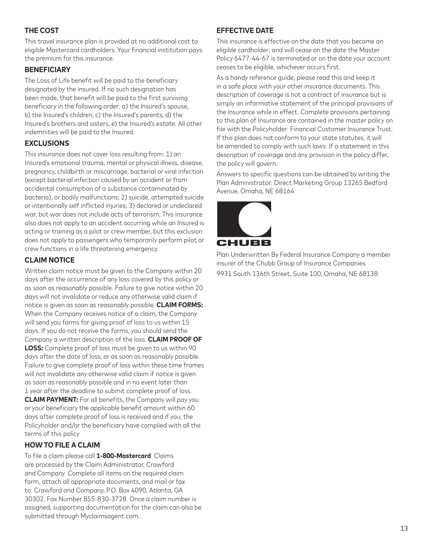# **THE COST**

This travel insurance plan is provided at no additional cost to eligible Mastercard cardholders. Your financial institution pays the premium for this insurance.

#### **BENEFICIARY**

The Loss of Life benefit will be paid to the beneficiary designated by the insured. If no such designation has been made, that benefit will be paid to the first surviving beneficiary in the following order: a) the Insured's spouse, b) the Insured's children, c) the Insured's parents, d) the Insured's brothers and sisters, e) the Insured's estate. All other indemnities will be paid to the Insured.

#### **EXCLUSIONS**

This insurance does not cover loss resulting from: 1) an Insured's emotional trauma, mental or physical illness, disease, pregnancy, childbirth or miscarriage, bacterial or viral infection (except bacterial infection caused by an accident or from accidental consumption of a substance contaminated by bacteria), or bodily malfunctions; 2) suicide, attempted suicide or intentionally self inflicted injuries; 3) declared or undeclared war, but war does not include acts of terrorism; This insurance also does not apply to an accident occurring while an Insured is acting or training as a pilot or crew member, but this exclusion does not apply to passengers who temporarily perform pilot or crew functions in a life threatening emergency.

# **CLAIM NOTICE**

Written claim notice must be given to the Company within 20 days after the occurrence of any loss covered by this policy or as soon as reasonably possible. Failure to give notice within 20 days will not invalidate or reduce any otherwise valid claim if notice is given as soon as reasonably possible. **CLAIM FORMS:** When the Company receives notice of a claim, the Company will send you forms for giving proof of loss to us within 15 days. If you do not receive the forms, you should send the Company a written description of the loss. **CLAIM PROOF OF LOSS:** Complete proof of loss must be given to us within 90 days after the date of loss, or as soon as reasonably possible. Failure to give complete proof of loss within these time frames will not invalidate any otherwise valid claim if notice is given as soon as reasonably possible and in no event later than 1 year after the deadline to submit complete proof of loss. **CLAIM PAYMENT:** For all benefits, the Company will pay you or your beneficiary the applicable benefit amount within 60 days after complete proof of loss is received and if you, the Policyholder and/or the beneficiary have complied with all the terms of this policy

#### **HOW TO FILE A CLAIM**

To file a claim please call **1-800-Mastercard**. Claims are processed by the Claim Administrator, Crawford and Company. Complete all items on the required claim form, attach all appropriate documents, and mail or fax to: Crawford and Company, P.O. Box 4090, Atlanta, GA 30302, Fax Number 855-830-3728. Once a claim number is assigned, supporting documentation for the claim can also be submitted through Myclaimsagent.com.

#### **EFFECTIVE DATE**

This insurance is effective on the date that you become an eligible cardholder; and will cease on the date the Master Policy 6477-44-67 is terminated or on the date your account ceases to be eligible, whichever occurs first.

As a handy reference guide, please read this and keep it in a safe place with your other insurance documents. This description of coverage is not a contract of insurance but is simply an informative statement of the principal provisions of the insurance while in effect. Complete provisions pertaining to this plan of Insurance are contained in the master policy on file with the Policyholder: Financial Customer Insurance Trust. If this plan does not conform to your state statutes, it will be amended to comply with such laws. If a statement in this description of coverage and any provision in the policy differ, the policy will govern.

Answers to specific questions can be obtained by writing the Plan Administrator: Direct Marketing Group 13265 Bedford Avenue, Omaha, NE 68164



Plan Underwritten By Federal Insurance Company a member insurer of the Chubb Group of Insurance Companies 9931 South 136th Street, Suite 100, Omaha, NE 68138